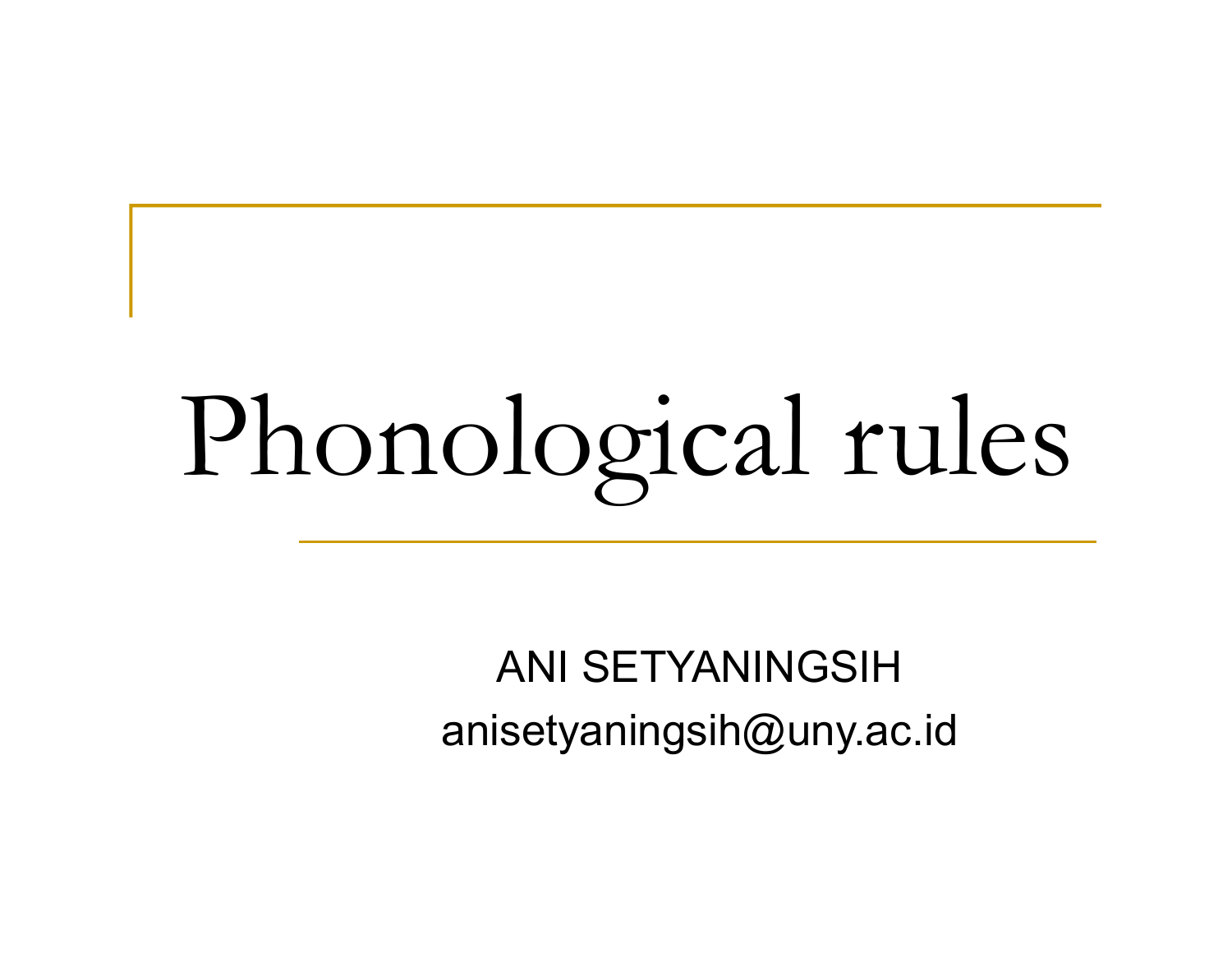# Phonological rules

ANI SETYANINGSIH anisetyaningsih@uny.ac.id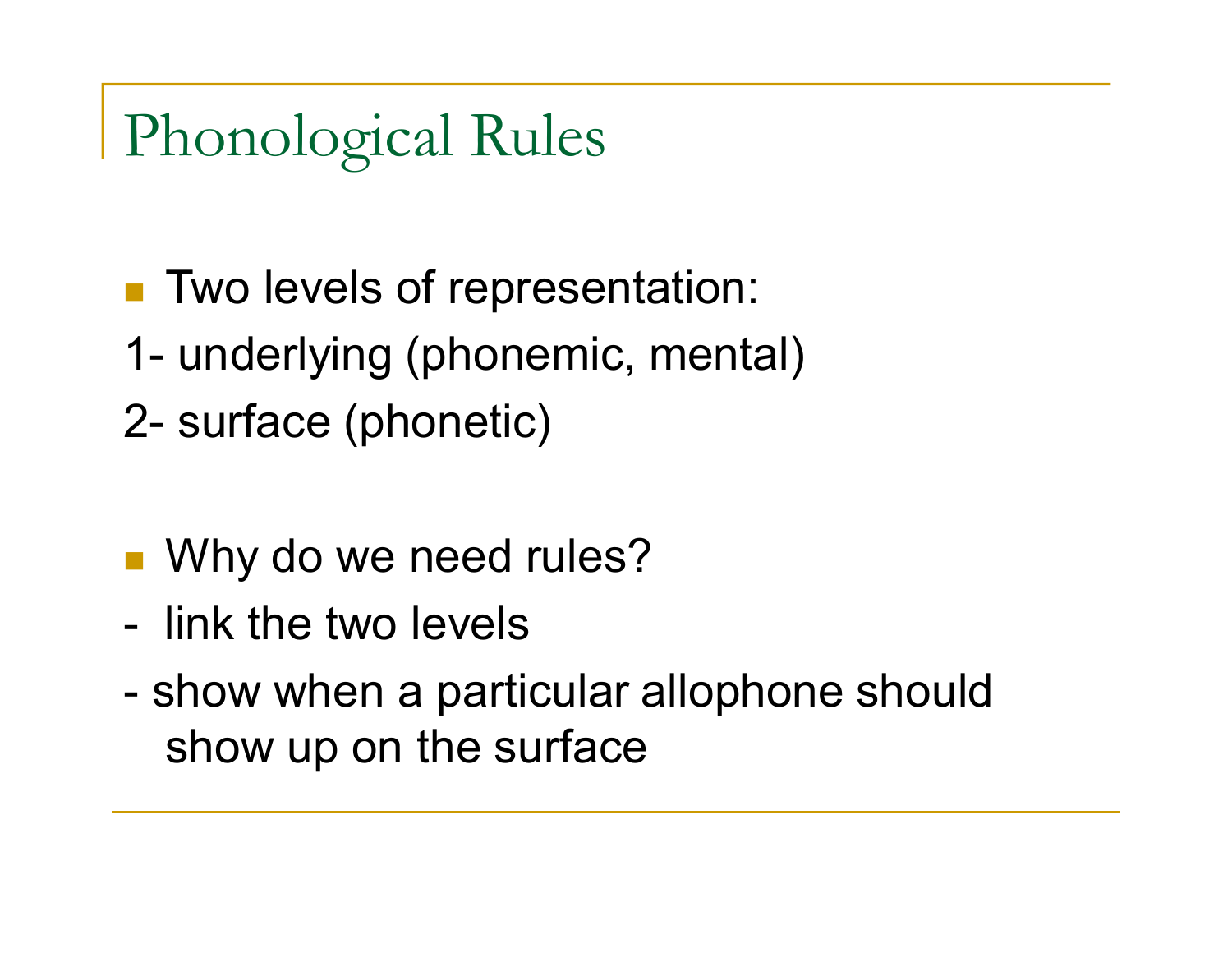Phonological Rules

- Two levels of representation:
- 1- underlying (phonemic, mental)
- 2- surface (phonetic)
- Why do we need rules?
- link the two levels
- show when a particular allophone should show up on the surface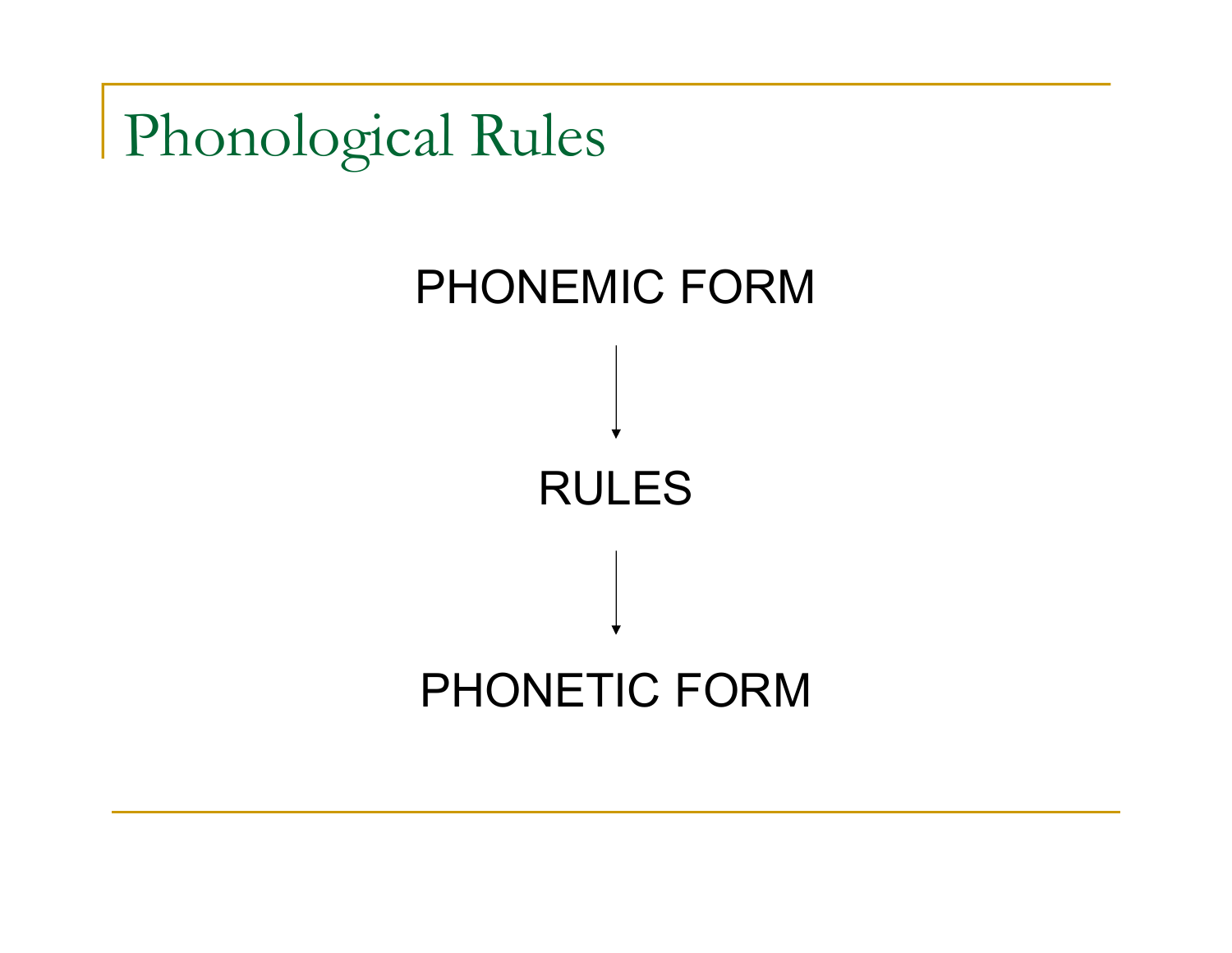Phonological Rules

# PHONEMIC FORM RULES PHONETIC FORM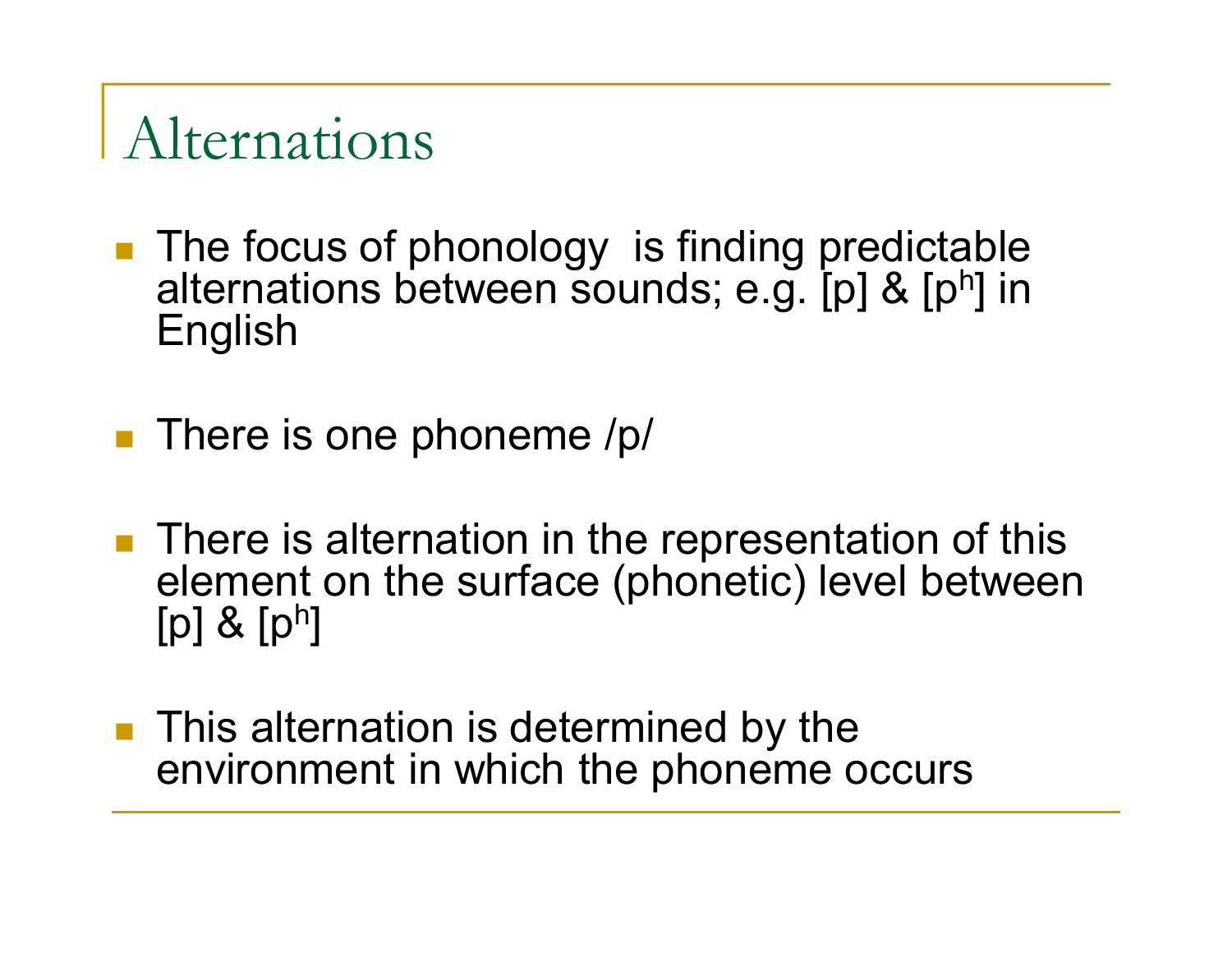#### Alternations

- **The focus of phonology is finding predictable** alternations between sounds; e.g. [p] & [ph] in English
- $\blacksquare$  There is one phoneme /p/
- **There is alternation in the representation of this** element on the surface (phonetic) level between  $[p]$  &  $[p^h]$
- **This alternation is determined by the** environment in which the phoneme occurs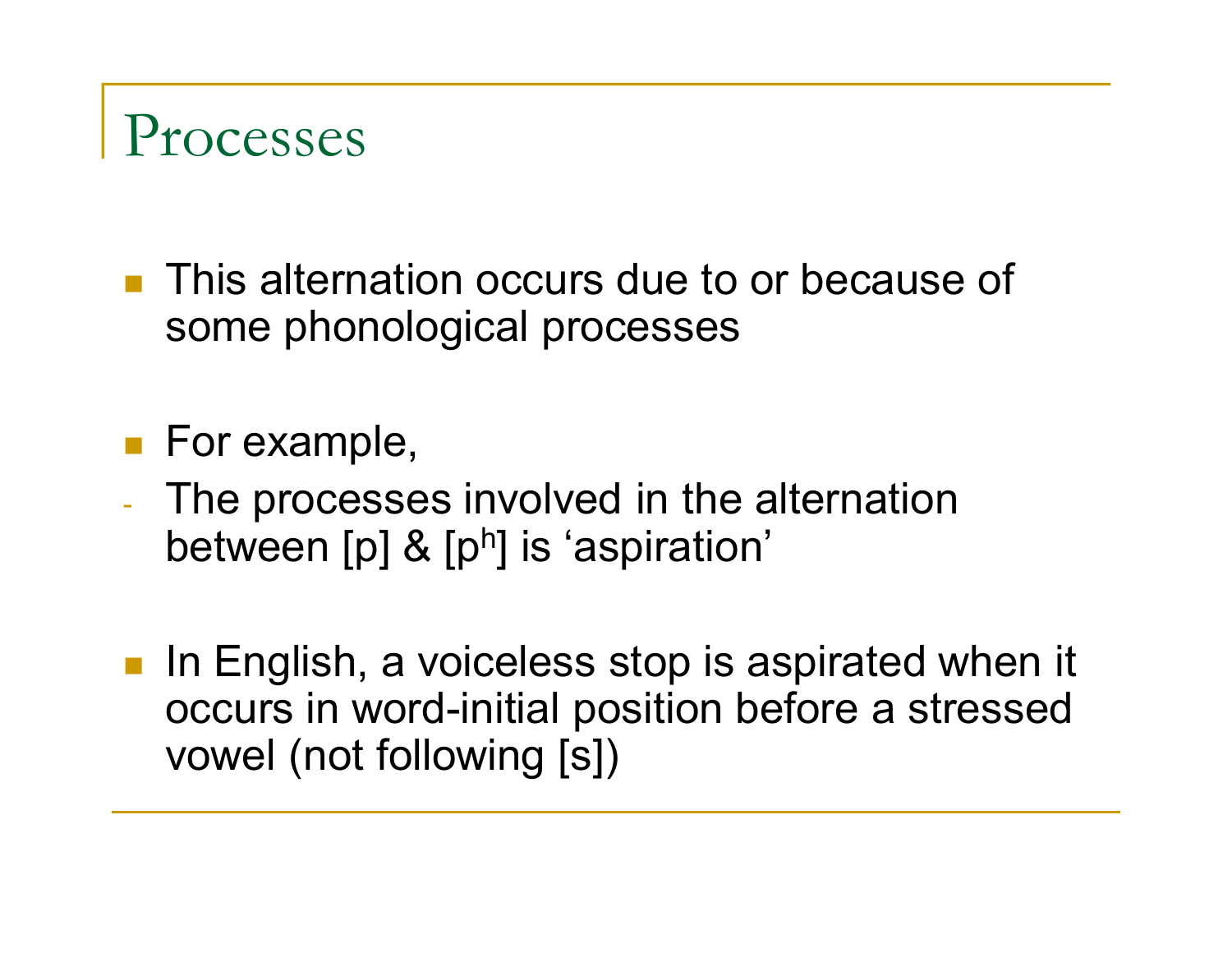

**This alternation occurs due to or because of** some phonological processes

**For example,** 

- The processes involved in the alternation between [p] & [ph] is 'aspiration'
- **In English, a voiceless stop is aspirated when it** occurs in word-initial position before a stressed vowel (not following [s])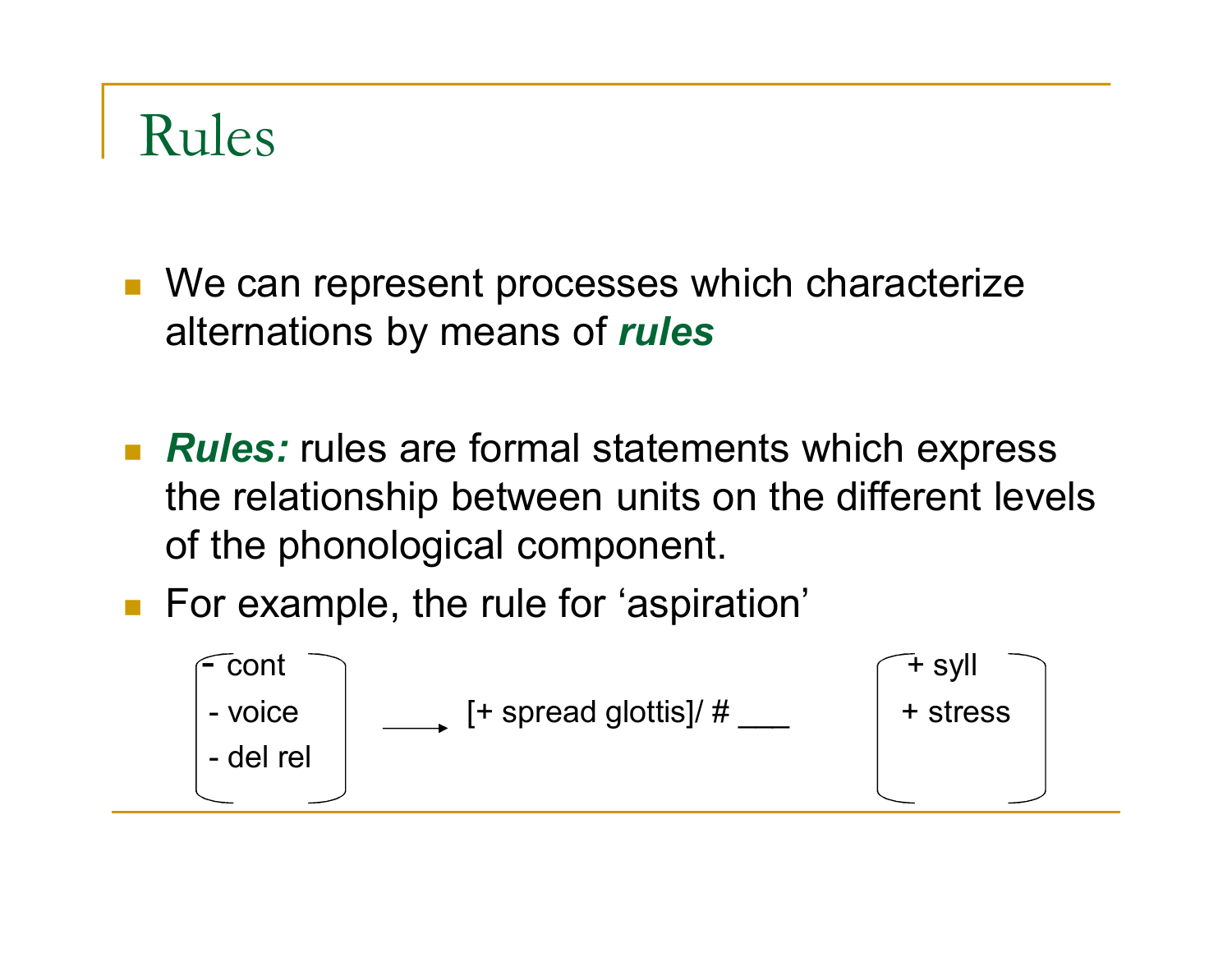#### Rules

■ We can represent processes which characterize alternations by means of *rules* 

- **Rules:** rules are formal statements which express the relationship between units on the different levels of the phonological component.
- For example, the rule for 'aspiration'

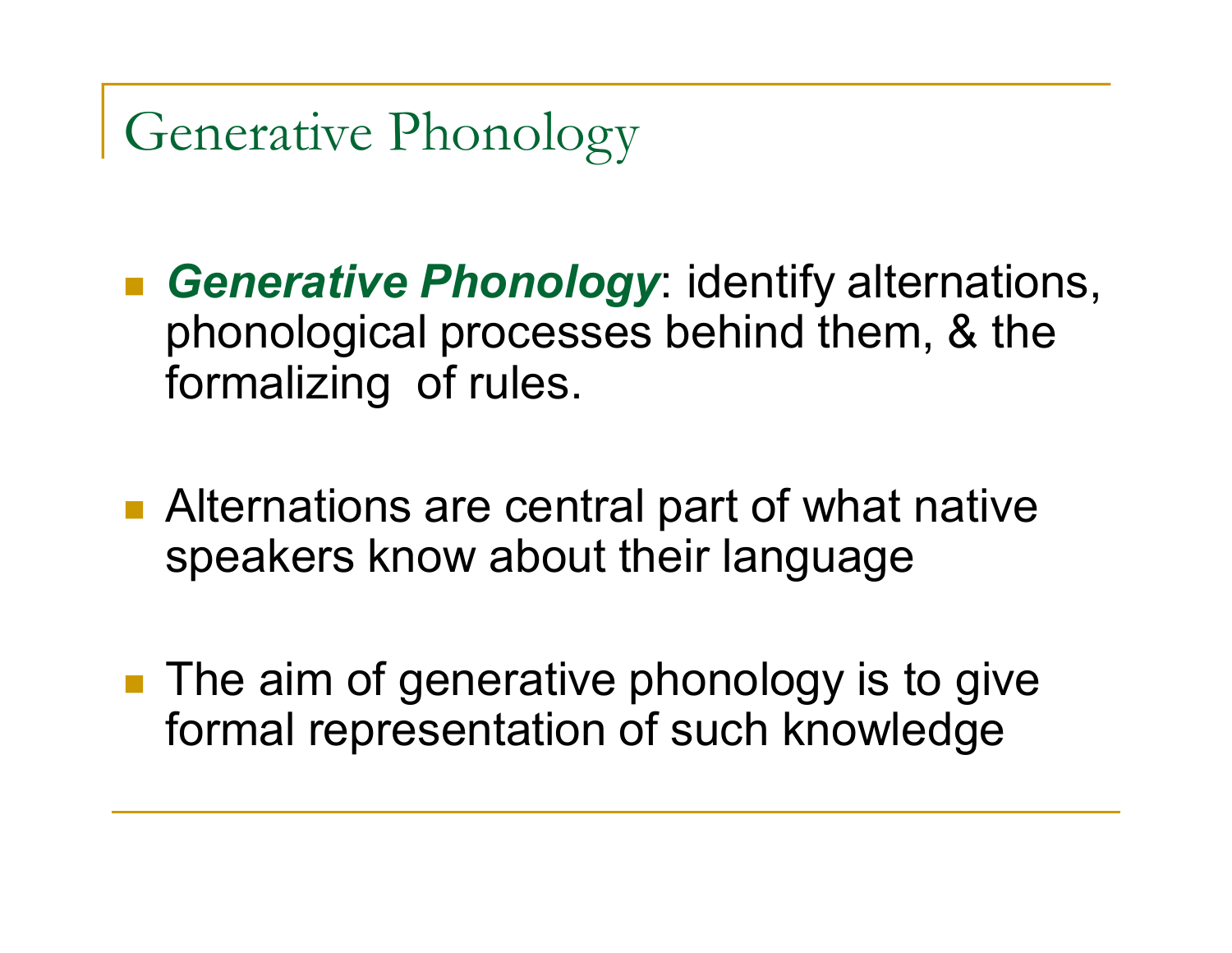Generative Phonology

 *Generative Phonology*: identify alternations, phonological processes behind them, & the formalizing of rules.

- Alternations are central part of what native speakers know about their language
- $\blacksquare$  The aim of generative phonology is to give formal representation of such knowledge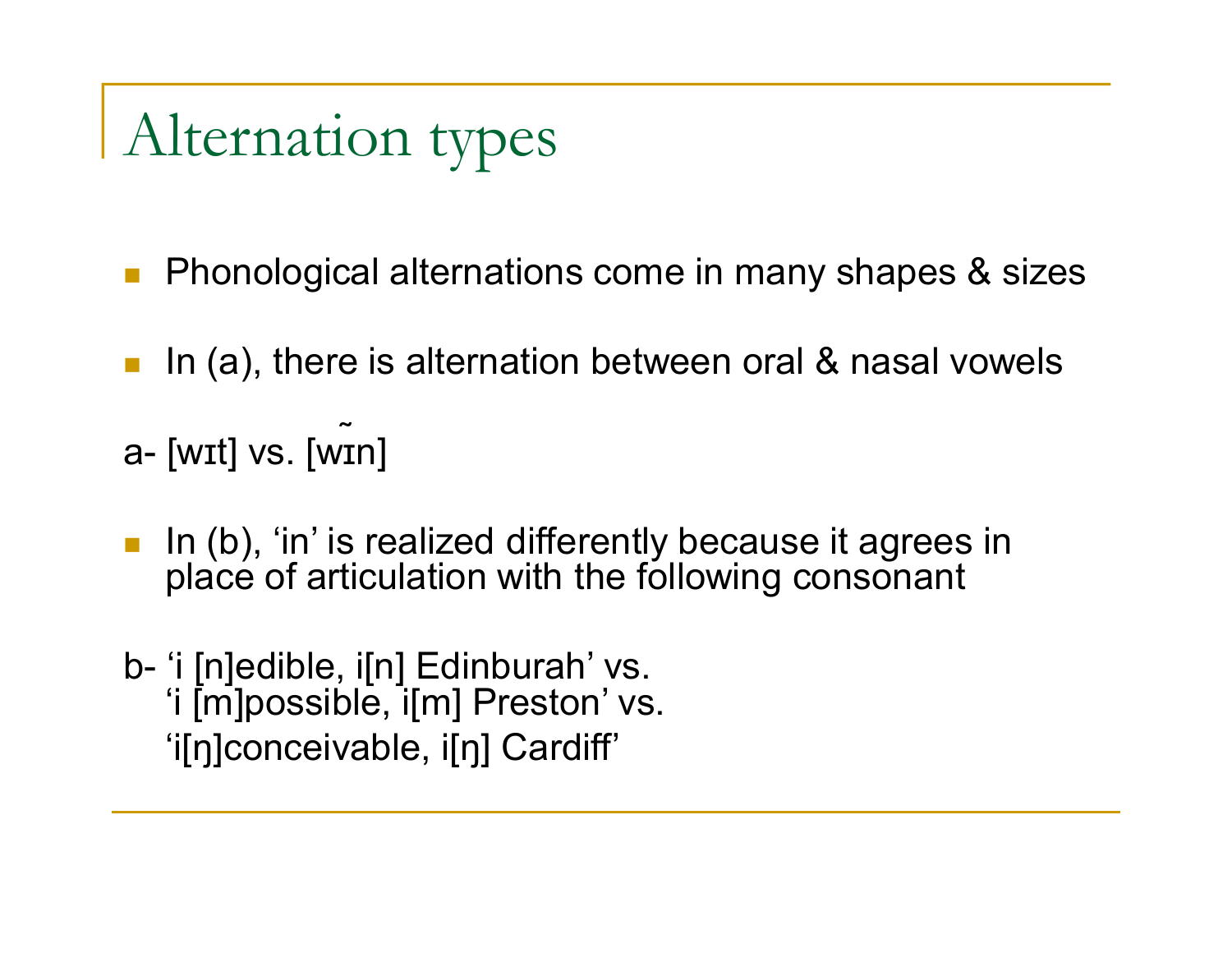# Alternation types

- **Phonological alternations come in many shapes & sizes**
- **Iouth** 1n (a), there is alternation between oral & nasal vowels
- ˷ a- [wɪt] vs. [wɪn]
- In (b), 'in' is realized differently because it agrees in place of articulation with the following consonant
- b- 'i [n]edible, i[n] Edinburah' vs. 'i [m]possible, i[m] Preston' vs. 'i[ŋ]conceivable, i[ŋ] Cardiff'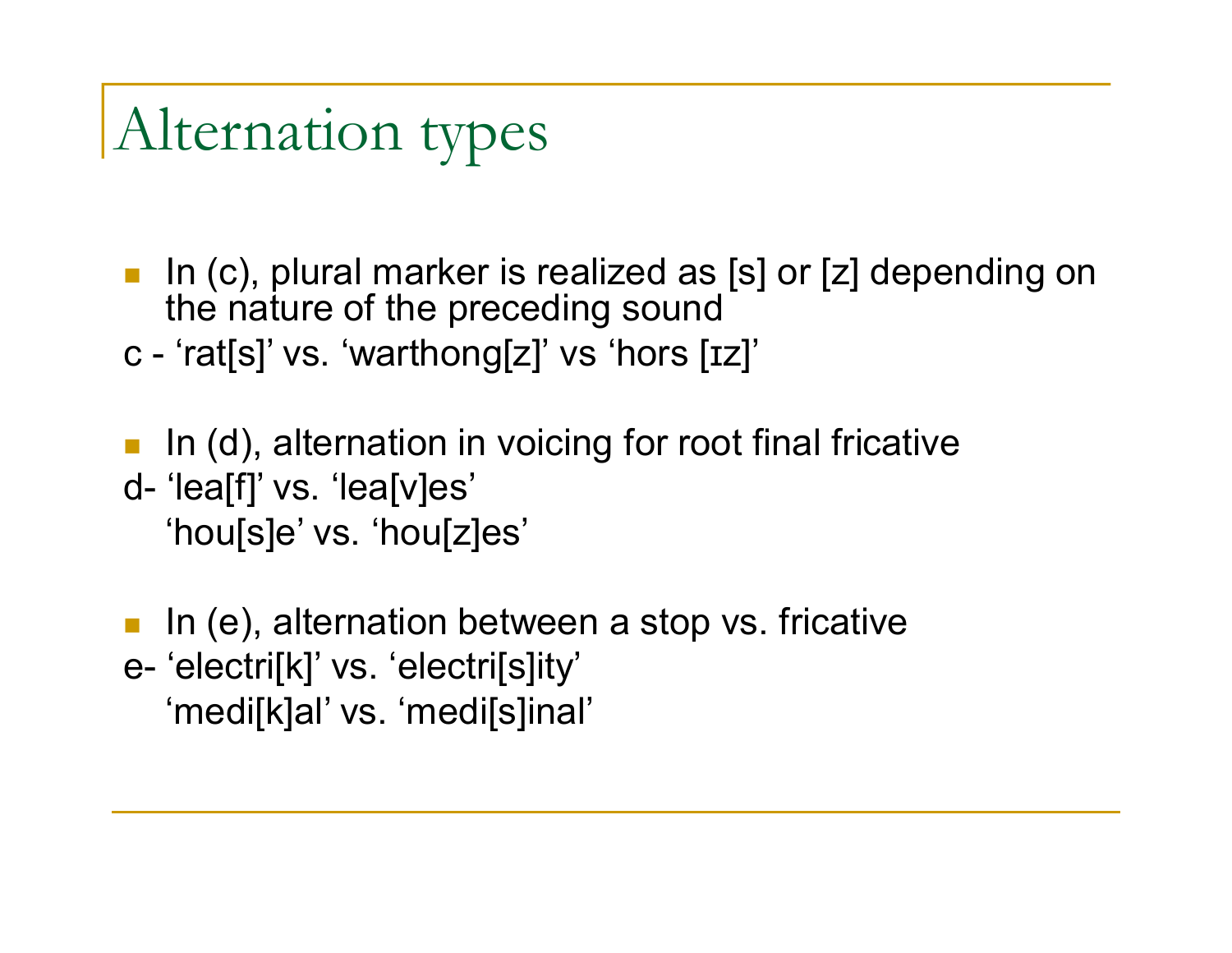## Alternation types

In (c), plural marker is realized as [s] or [z] depending on the nature of the preceding sound c - 'rat[s]' vs. 'warthong[z]' vs 'hors [ɪz]'

In (d), alternation in voicing for root final fricative

d- 'lea[f]' vs. 'lea[v]es' 'hou[s]e' vs. 'hou[z]es'

In (e), alternation between a stop vs. fricative e- 'electri[k]' vs. 'electri[s]ity' 'medi[k]al' vs. 'medi[s]inal'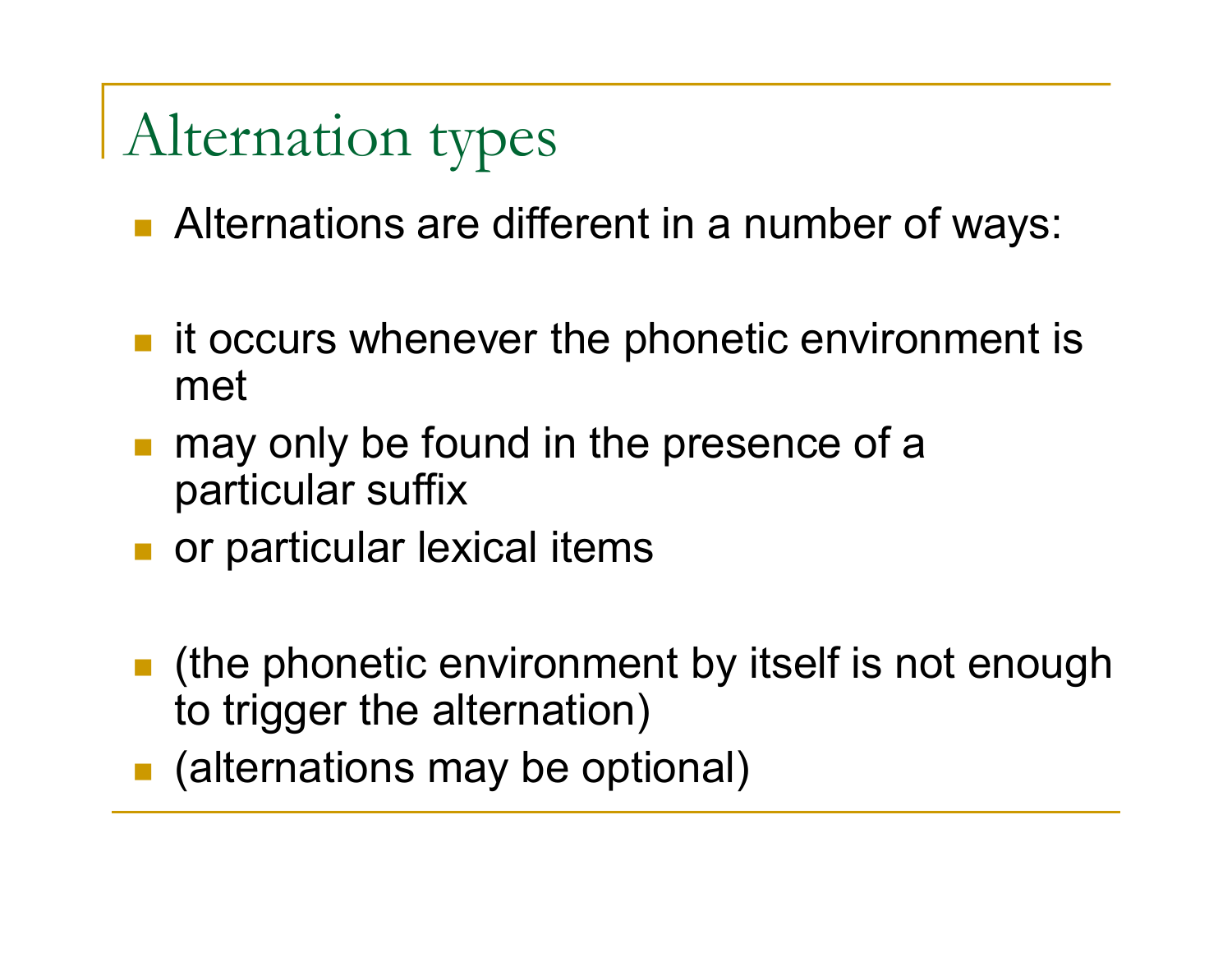# Alternation types

- **Alternations are different in a number of ways:**
- **ive** it occurs whenever the phonetic environment is met
- may only be found in the presence of a particular suffix
- or particular lexical items
- (the phonetic environment by itself is not enough to trigger the alternation)
- (alternations may be optional)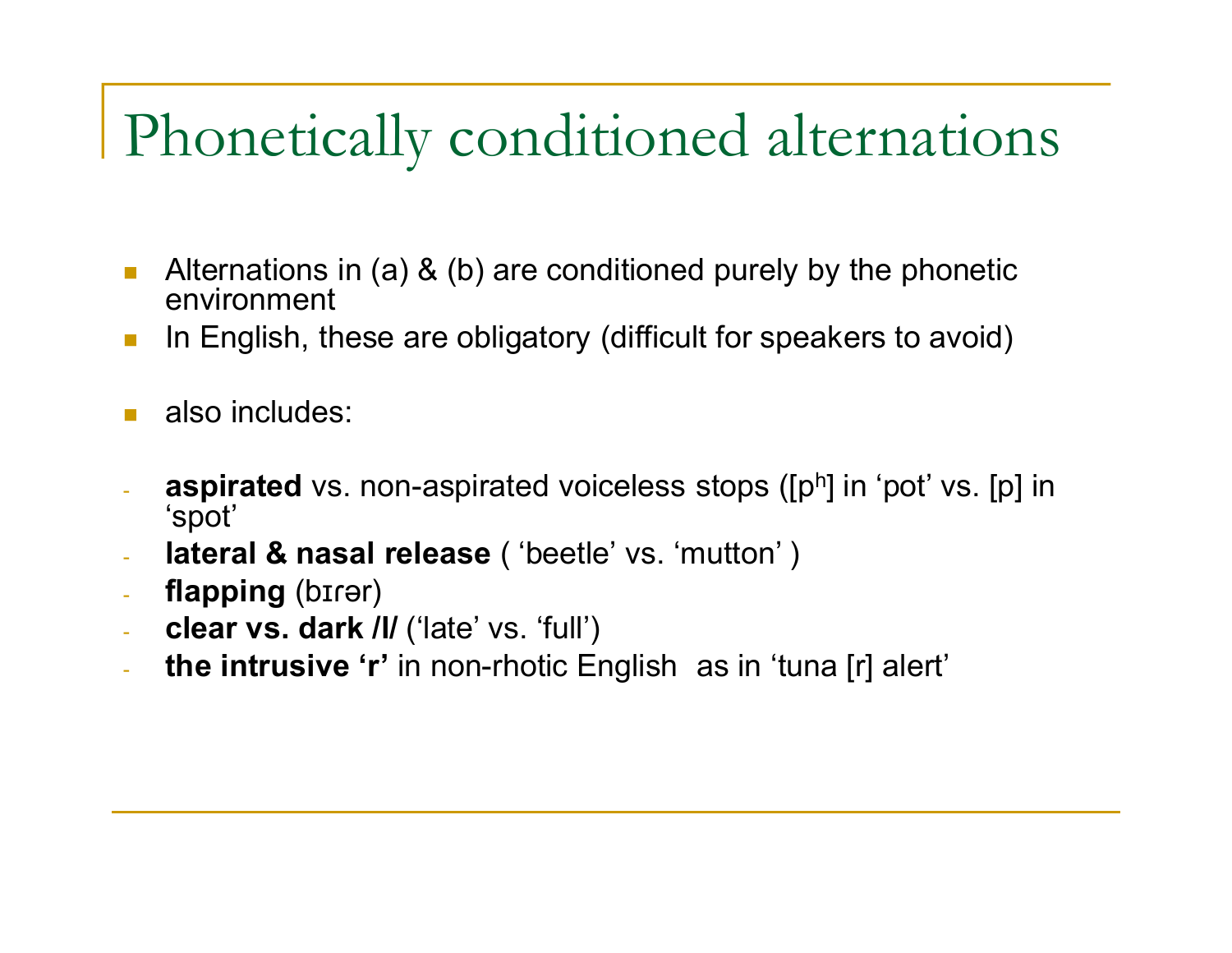#### Phonetically conditioned alternations

- **Alternations in (a) & (b) are conditioned purely by the phonetic** environment
- **In English, these are obligatory (difficult for speakers to avoid)**
- also includes:
- **aspirated** vs. non-aspirated voiceless stops ([p<sup>h</sup>] in 'pot' vs. [p] in 'spot'
- **lateral & nasal release** ('beetle' vs. 'mutton')
- **flapping** (bɪɾər)
- **clear vs. dark /l/** ('late' vs. 'full')
- **the intrusive 'r'** in non-rhotic English as in 'tuna [r] alert'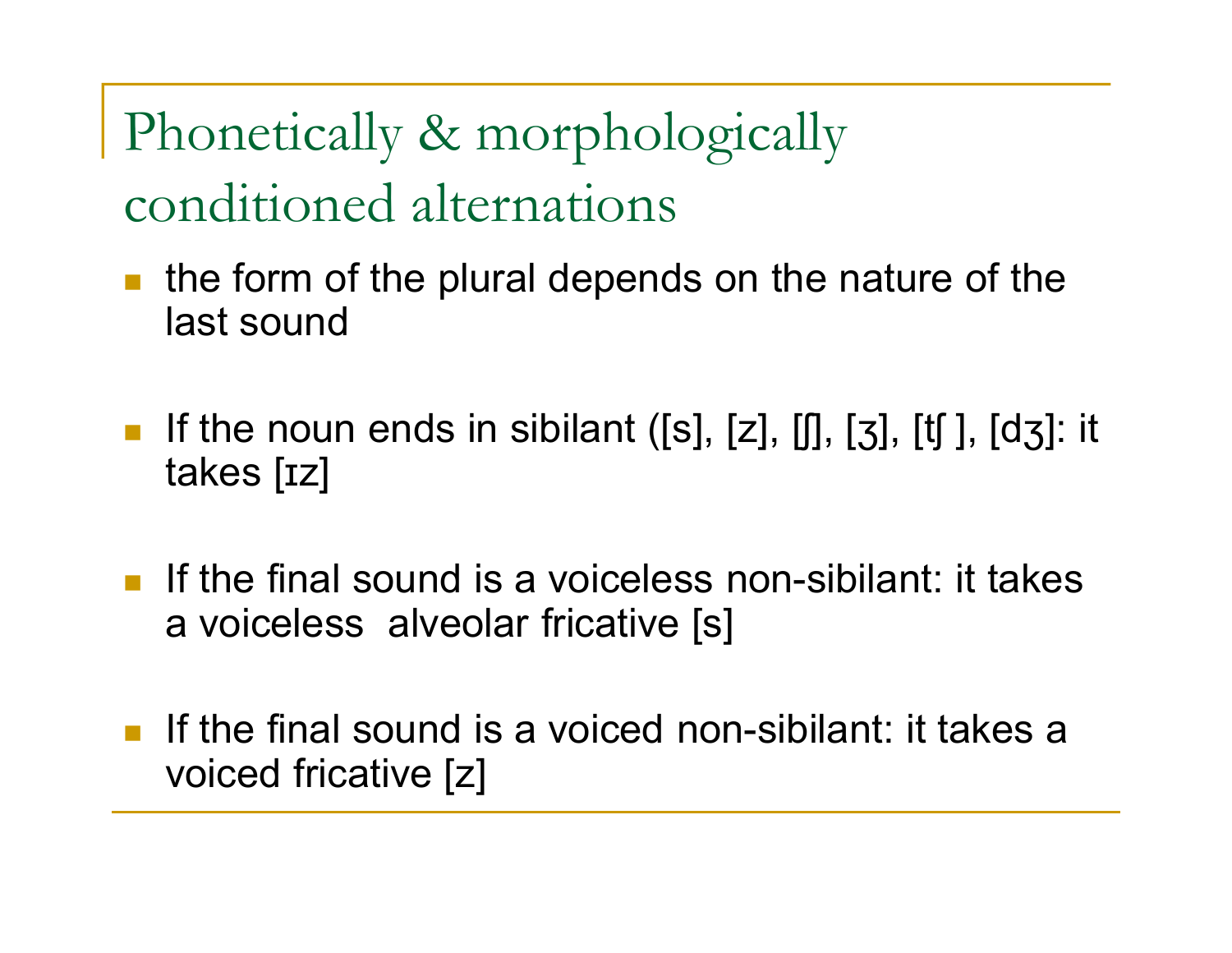Phonetically & morphologically conditioned alternations

- $\blacksquare$  the form of the plural depends on the nature of the last sound
- If the noun ends in sibilant ([s], [z], [f], [ $\frac{1}{3}$ ], [t[], [d $\frac{1}{3}$ ]: it takes [ɪz]
- If the final sound is a voiceless non-sibilant: it takes a voiceless alveolar fricative [s]
- If the final sound is a voiced non-sibilant: it takes a voiced fricative [z]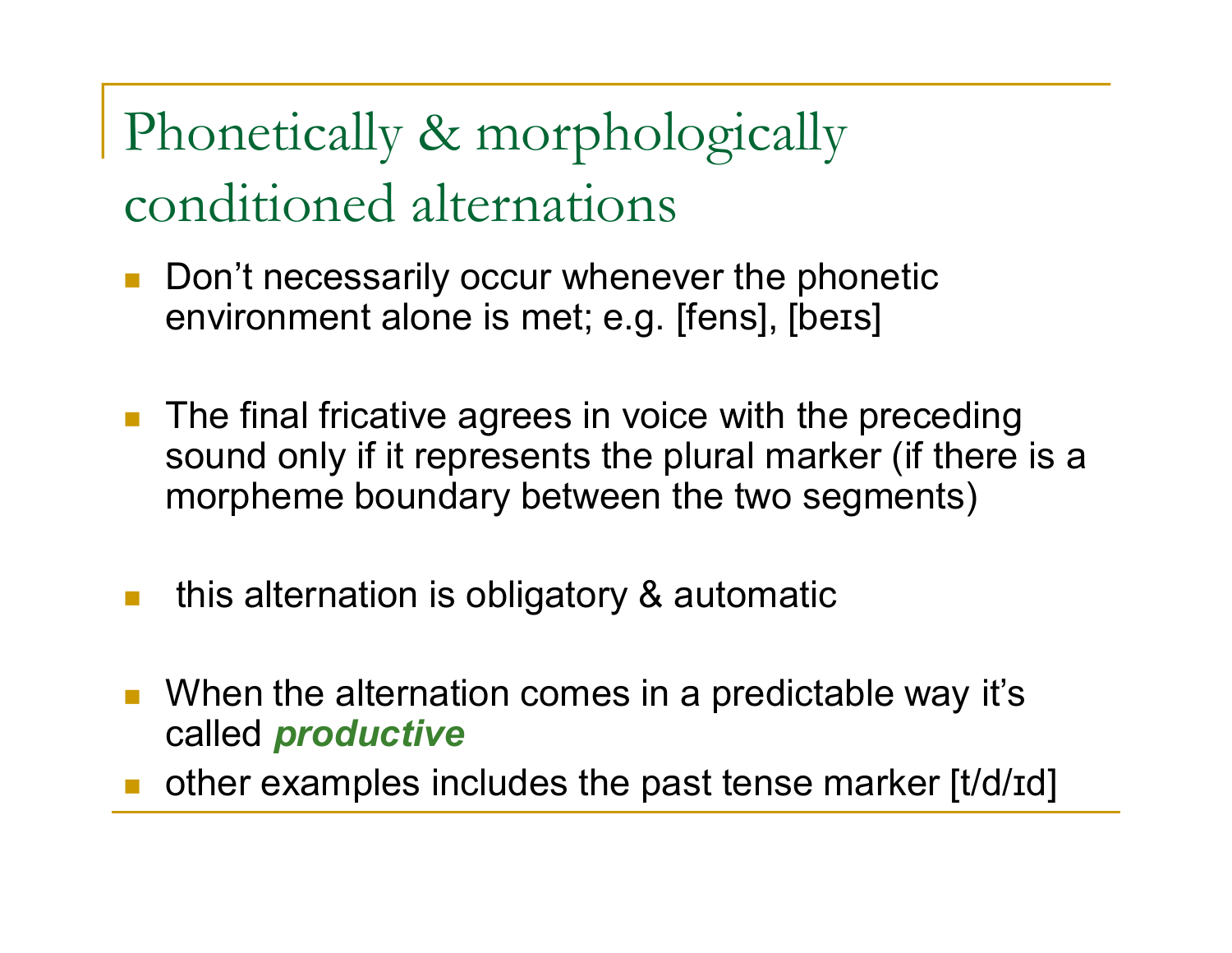#### Phonetically & morphologically conditioned alternations

- Don't necessarily occur whenever the phonetic environment alone is met; e.g. [fens], [beɪs]
- **The final fricative agrees in voice with the preceding** sound only if it represents the plural marker (if there is a morpheme boundary between the two segments)
- this alternation is obligatory & automatic
- When the alternation comes in a predictable way it's called *productive*
- other examples includes the past tense marker [t/d/ɪd]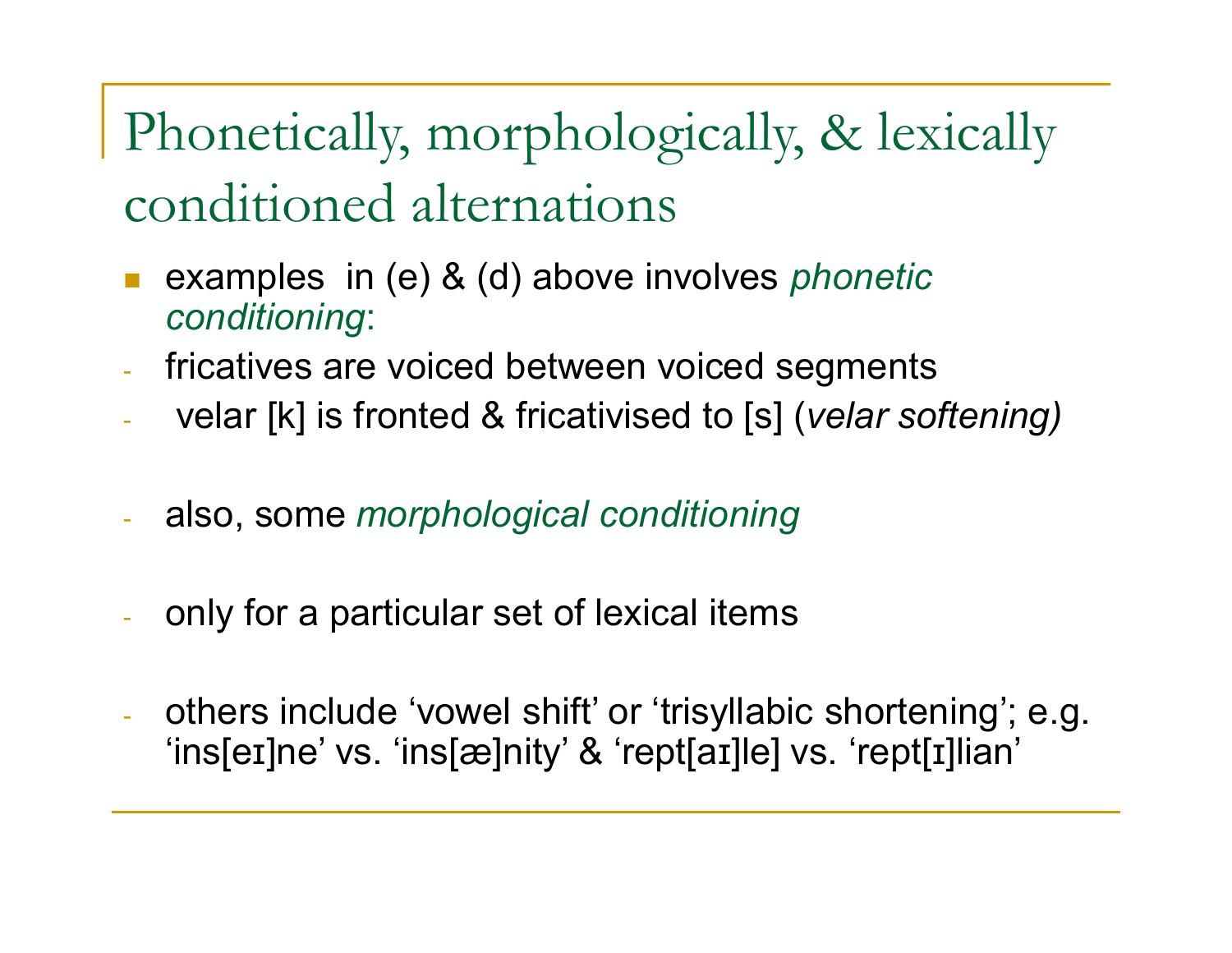Phonetically, morphologically, & lexically conditioned alternations

- examples in (e) & (d) above involves *phonetic conditioning*:
- fricatives are voiced between voiced segments
- velar [k] is fronted & fricativised to [s] (*velar softening)*
- also, some *morphological conditioning*
- only for a particular set of lexical items
- others include 'vowel shift' or 'trisyllabic shortening'; e.g. 'ins[eɪ]ne' vs. 'ins[æ]nity' & 'rept[aɪ]le] vs. 'rept[ɪ]lian'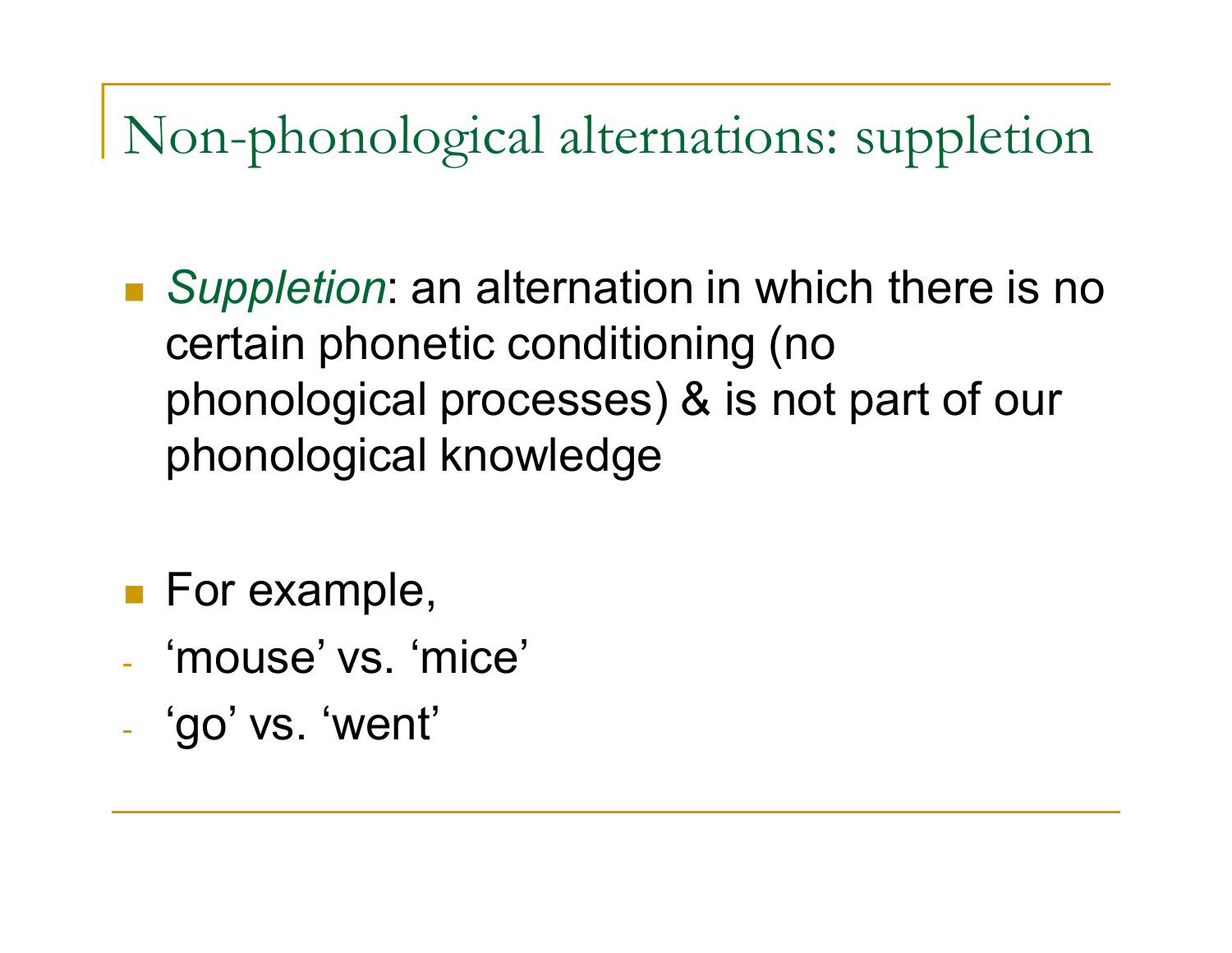Non-phonological alternations: suppletion

- *Suppletion*: an alternation in which there is no certain phonetic conditioning (no phonological processes) & is not part of our phonological knowledge
- **For example,**
- 'mouse' vs. 'mice'
- 'go' vs. 'went'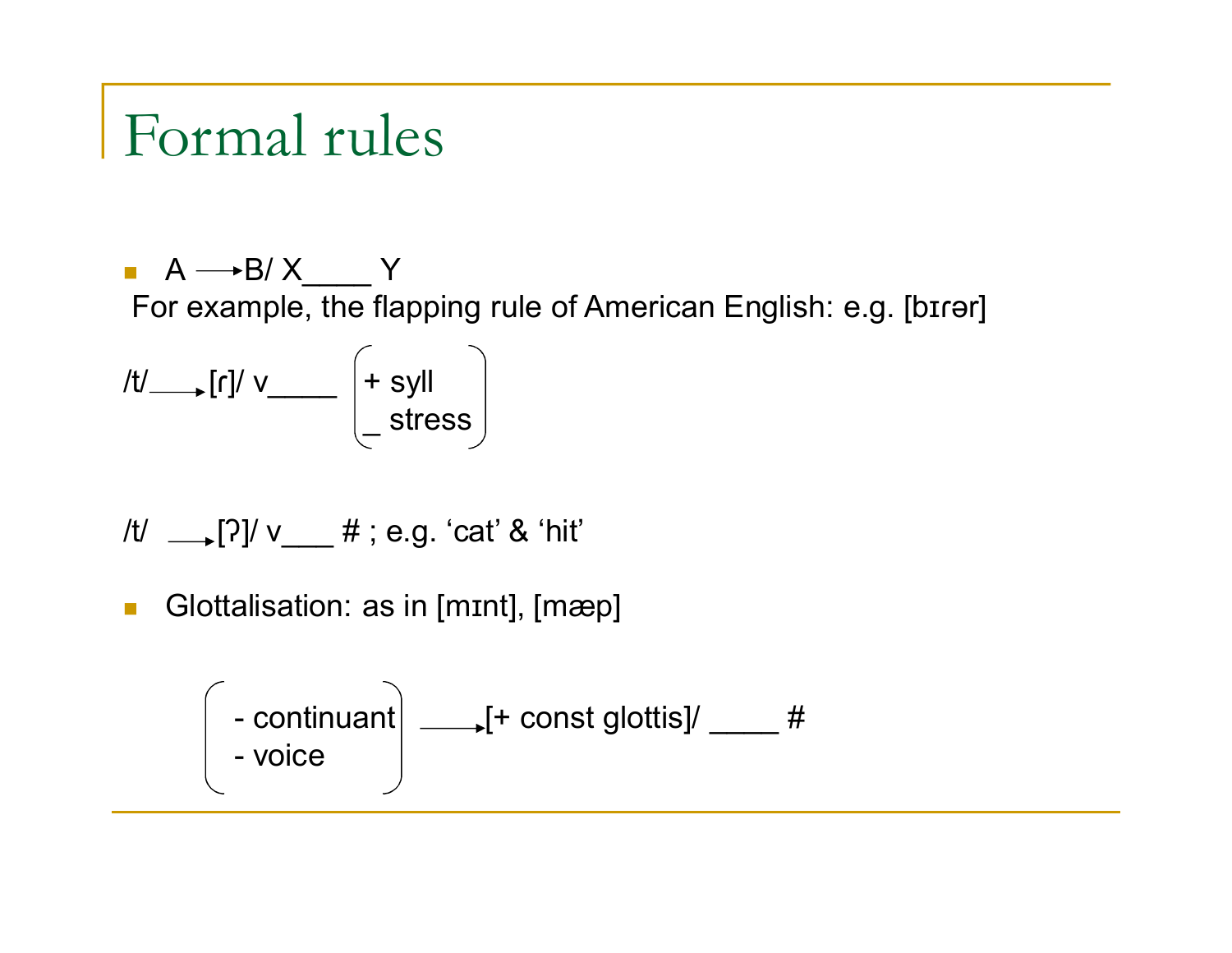#### Formal rules

 $A \rightarrow B/X$  Y For example, the flapping rule of American English: e.g. [bɪɾər]

/t/\_\_\_\_<sub>\_</sub>[ɾ]/ v\_\_\_\_\_ |+syll \_ stress

/t/  $\frac{1}{2}$ [?]/ v\_\_\_ #; e.g. 'cat' & 'hit'

Glottalisation: as in [mɪnt], [mæp]

$$
-\text{continuant}\left(-\text{voice}\right)
$$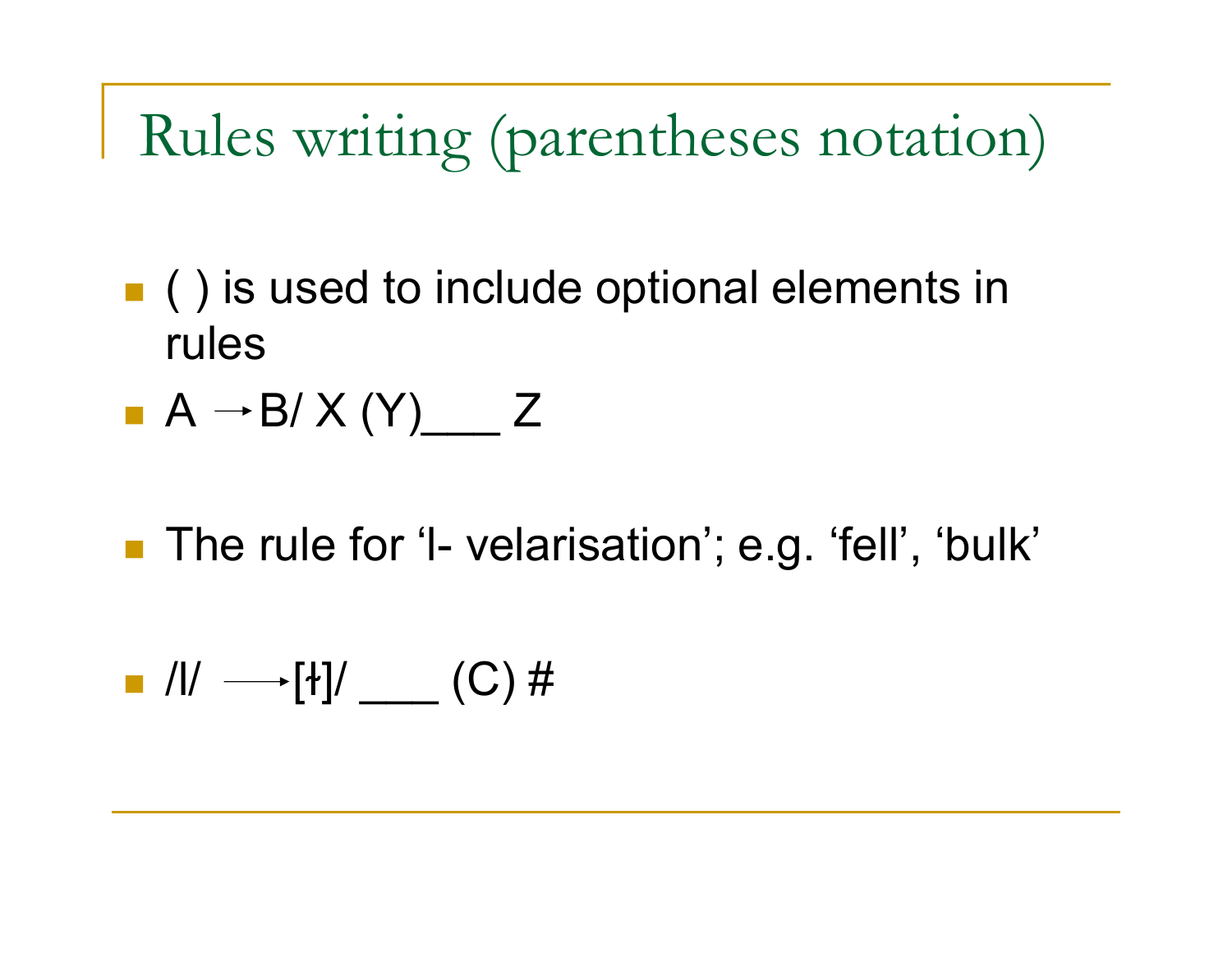Rules writing (parentheses notation)

- **()** is used to include optional elements in rules
- $A \rightarrow B/X(Y)$  Z
- The rule for 'I- velarisation'; e.g. 'fell', 'bulk'

$$
\blacksquare \ \text{all} \ \longrightarrow [1] / \ \_\_\_\_\_ (C) \ \#
$$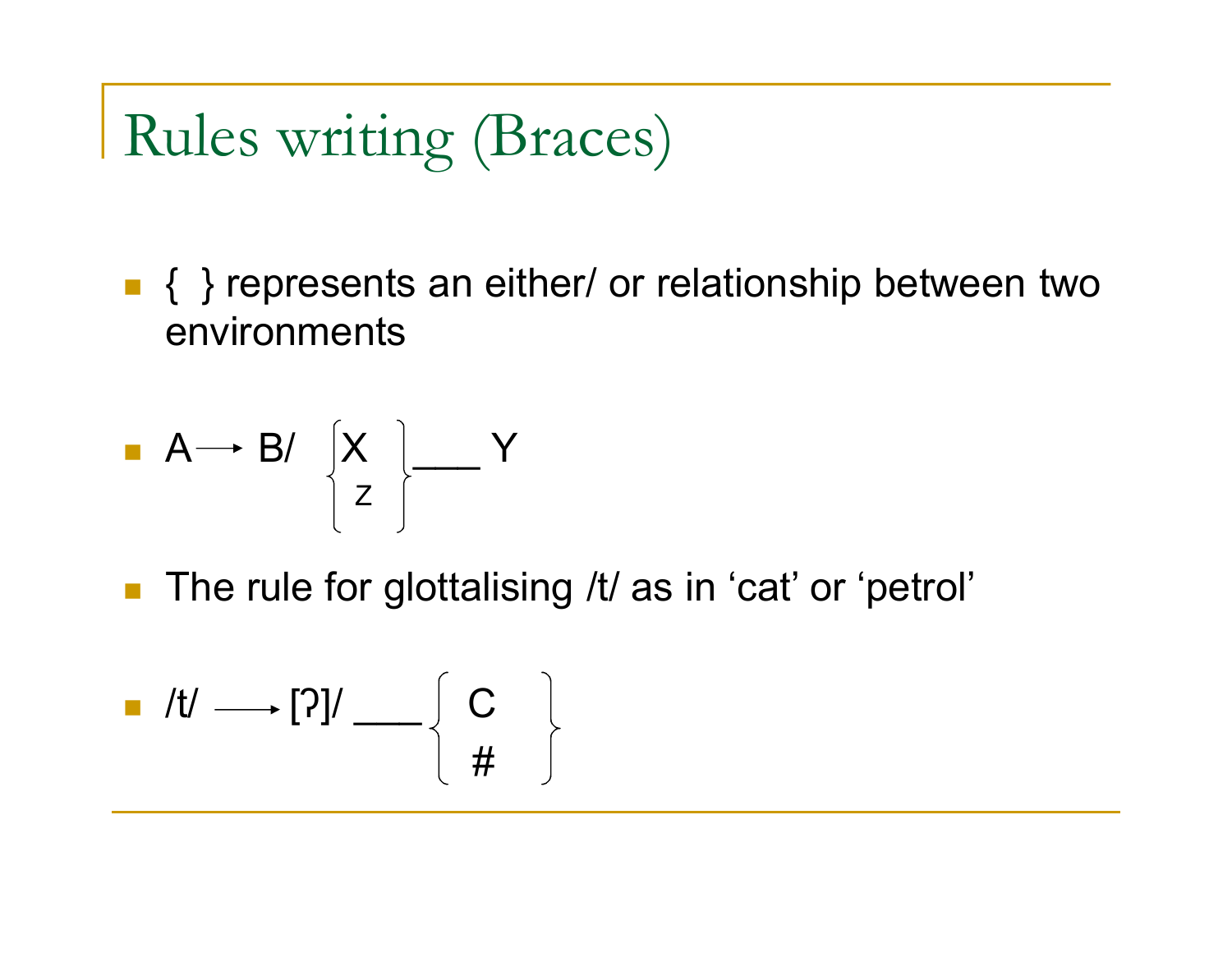Rules writing (Braces)

■ { } represents an either/ or relationship between two environments

$$
\begin{array}{c}\n\blacksquare \mathsf{A} \longrightarrow \mathsf{B} \mathsf{I} \quad \begin{bmatrix} \mathsf{X} \\ \mathsf{Z} \end{bmatrix} \begin{array}{c}\n\blacksquare \quad \mathsf{Y}\n\end{array}
$$

■ The rule for glottalising /t/ as in 'cat' or 'petrol'

$$
\blacksquare \quad /t/ \longrightarrow [?] / \longrightarrow \left\{ \begin{array}{c} C \\ \# \end{array} \right\}
$$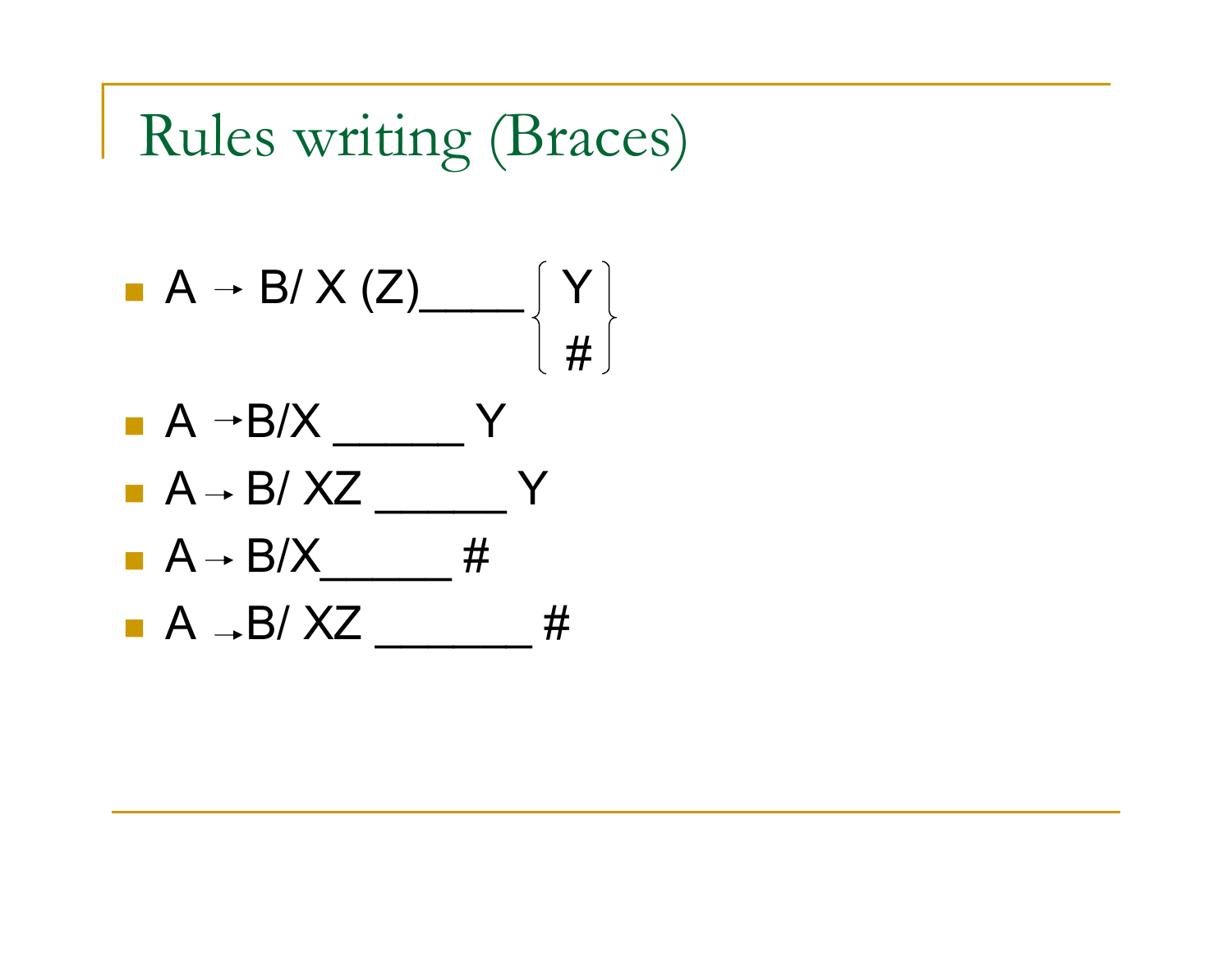

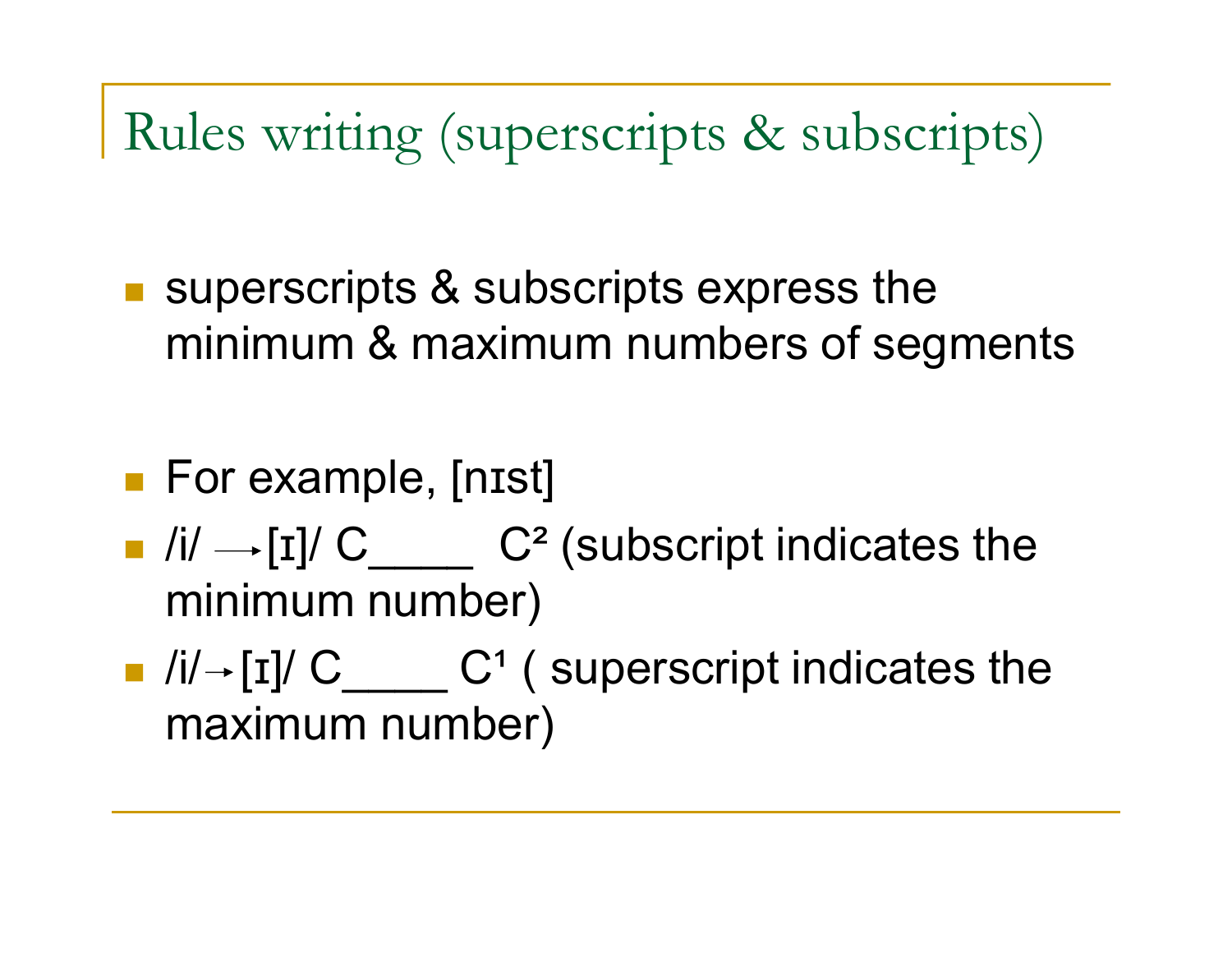Rules writing (superscripts & subscripts)

- superscripts & subscripts express the minimum & maximum numbers of segments
- **For example, [nist]**
- $\blacksquare$  /i/  $\rightarrow$  [I]/ C  $\blacksquare$  C<sup>2</sup> (subscript indicates the minimum number)
- $\blacksquare$  /i/  $\blacksquare$  [I]/ C\_\_\_\_\_ C<sup>1</sup> ( superscript indicates the maximum number)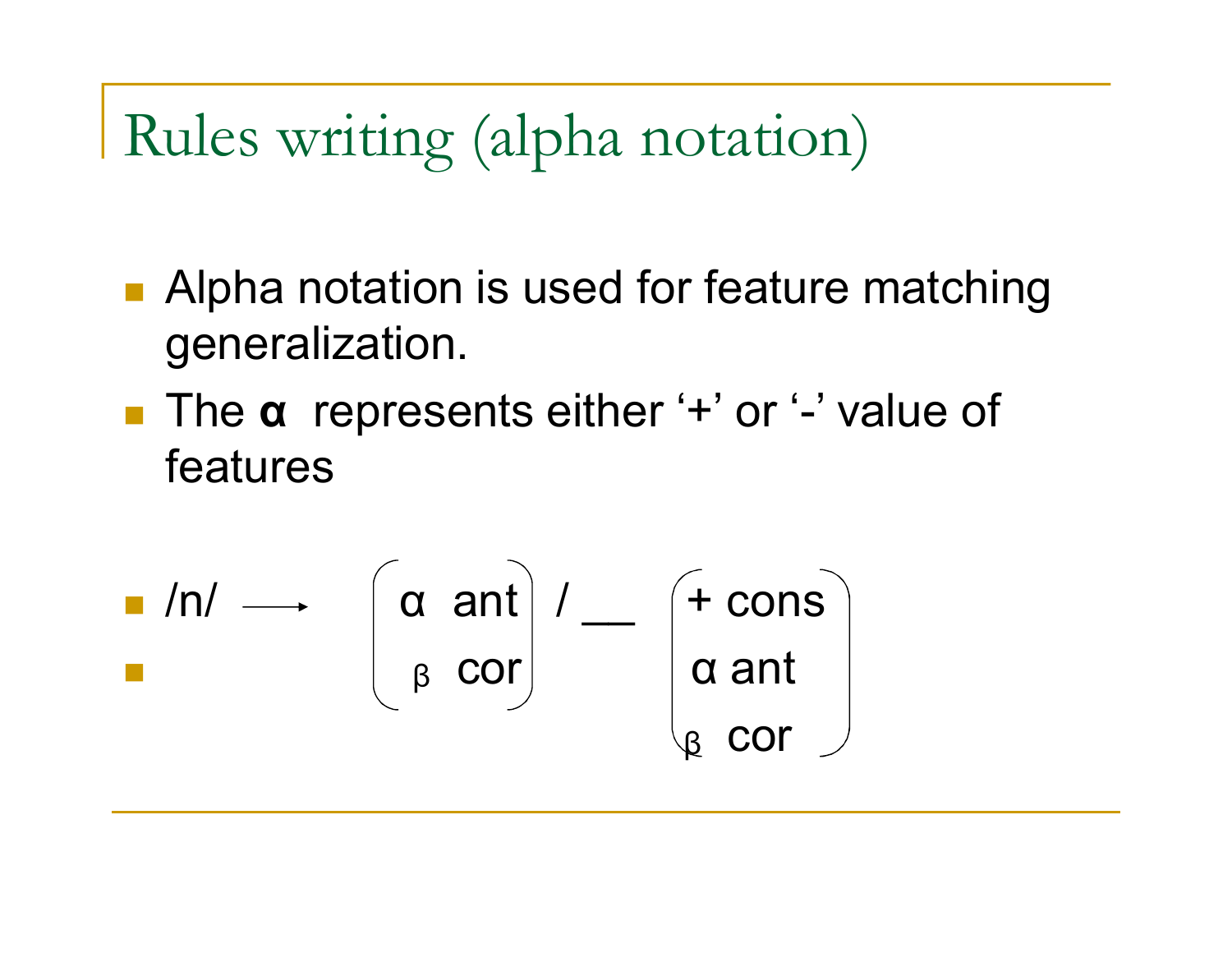Rules writing (alpha notation)

- Alpha notation is used for feature matching generalization.
- The **α** represents either '+' or '-' value of features

$$
\begin{array}{c}\n\blacksquare / \blacksquare / \blacksquare \qquad \qquad \bigg(\alpha \quad \text{ant} \bigg) / \blacksquare \qquad \bigg(\begin{array}{c}\n\text{+ cons} \\
\text{alpha ant} \\
\text{m.t}\n\end{array}\bigg) \\
\downarrow
$$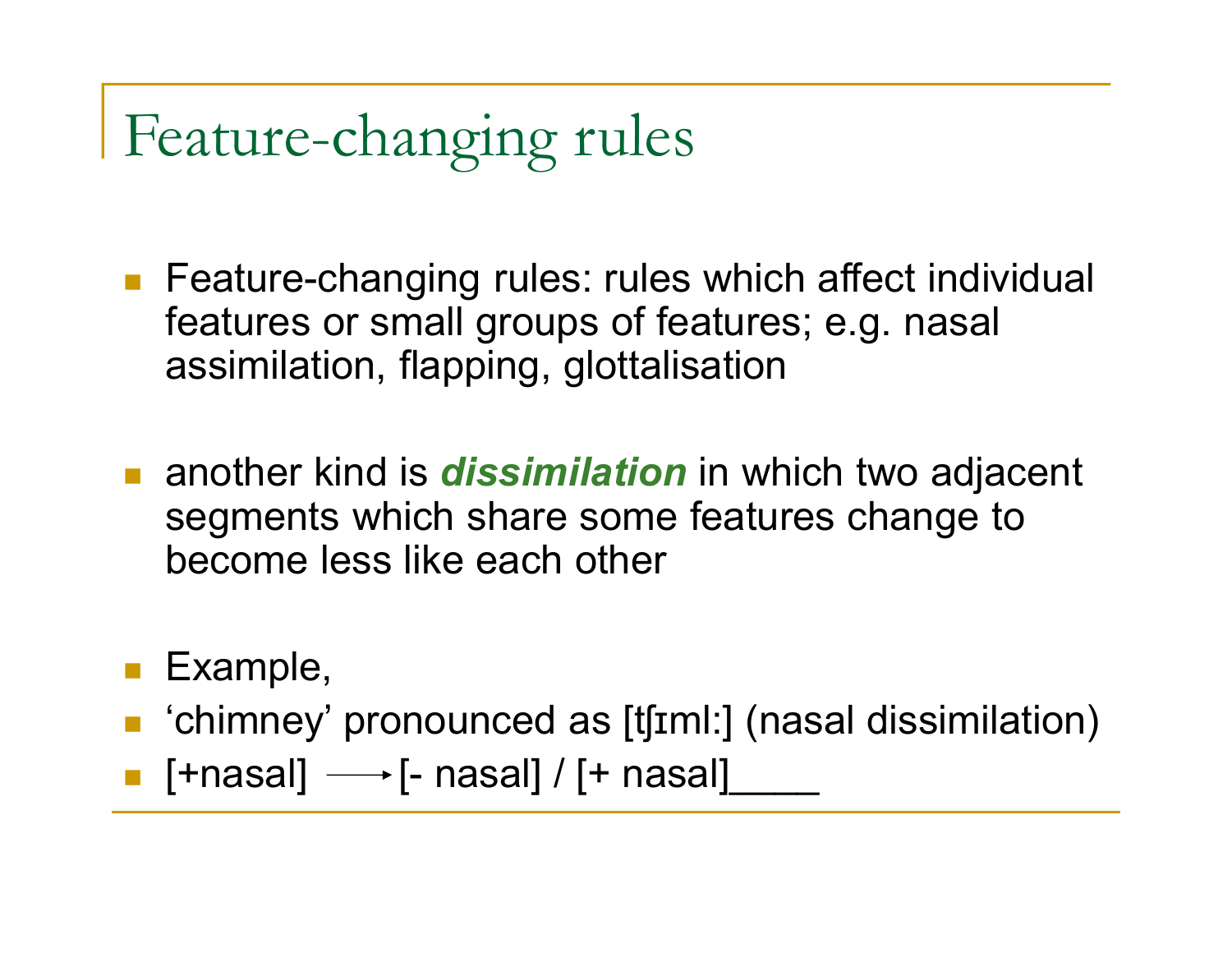Feature-changing rules

- **Feature-changing rules: rules which affect individual** features or small groups of features; e.g. nasal assimilation, flapping, glottalisation
- **E** another kind is *dissimilation* in which two adjacent segments which share some features change to become less like each other
- **Example,**
- 'chimney' pronounced as [tʃɪml:] (nasal dissimilation)
- **•** [+nasal]  $\longrightarrow$  [- nasal] / [+ nasal]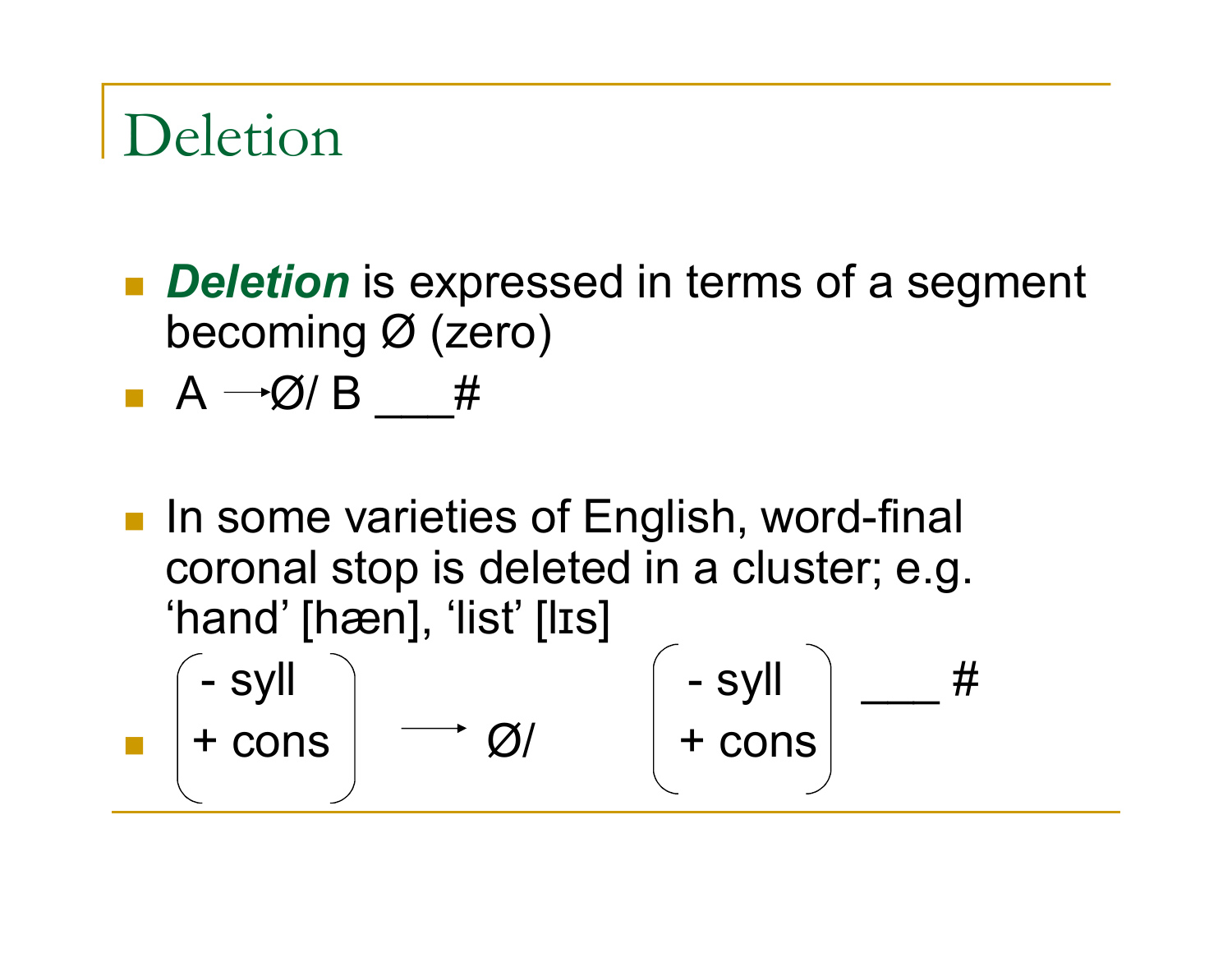## Deletion

- **Deletion** is expressed in terms of a segment becoming Ø (zero)
- $A \rightarrow \emptyset$  B #
- **In some varieties of English, word-final** coronal stop is deleted in a cluster; e.g. 'hand' [hæn], 'list' [lɪs]  $-$  syll  $+$  cons  $\left| \begin{array}{ccc} - & \text{syll} \ + & \text{cons} \end{array} \right|$   $+$   $\text{cons}$   $\left| \begin{array}{ccc} - & \text{syll} \ + & \text{cons} \end{array} \right|$ + cons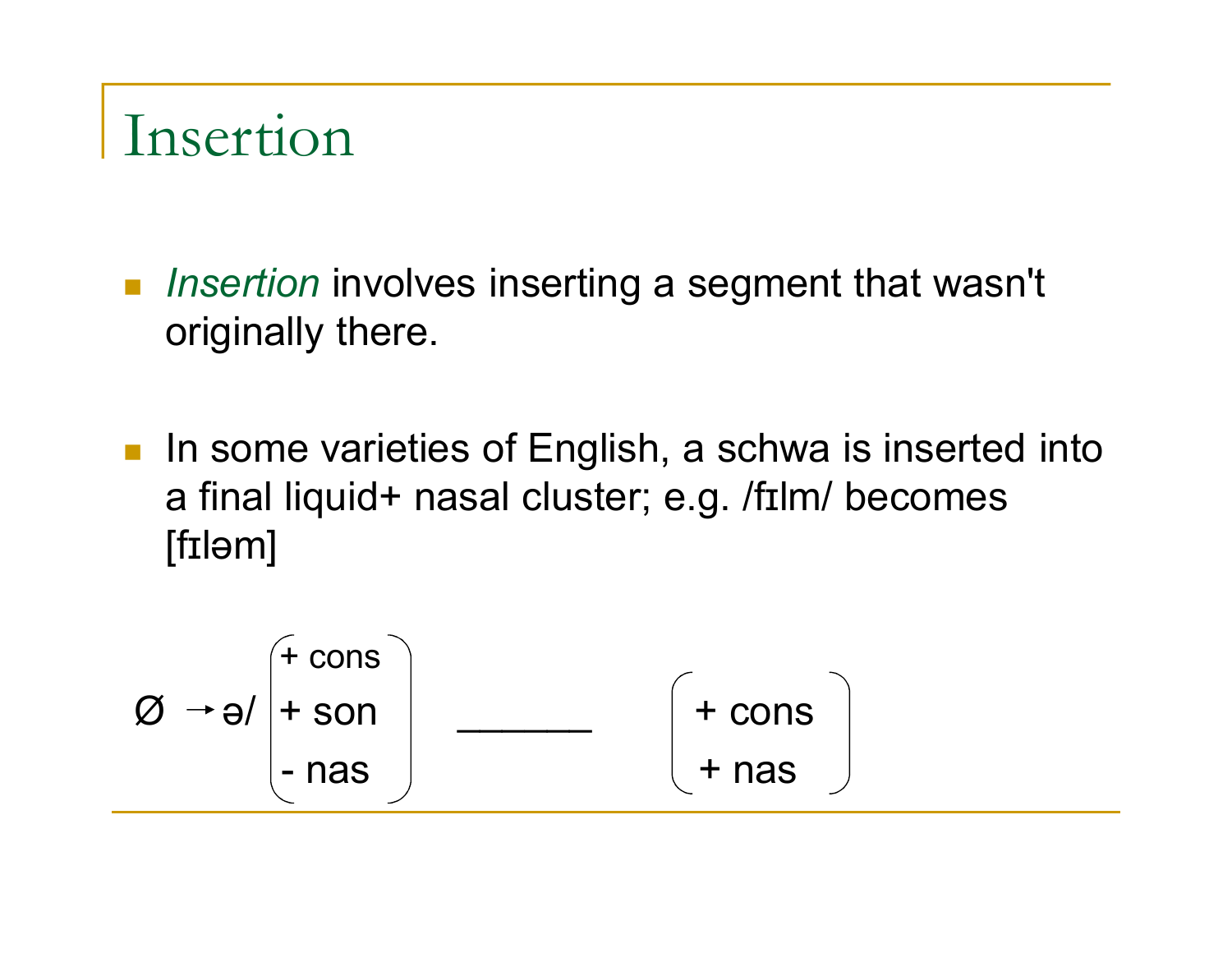#### Insertion

- *Insertion* involves inserting a segment that wasn't originally there.
- In some varieties of English, a schwa is inserted into a final liquid+ nasal cluster; e.g. /fɪlm/ becomes [fɪləm]

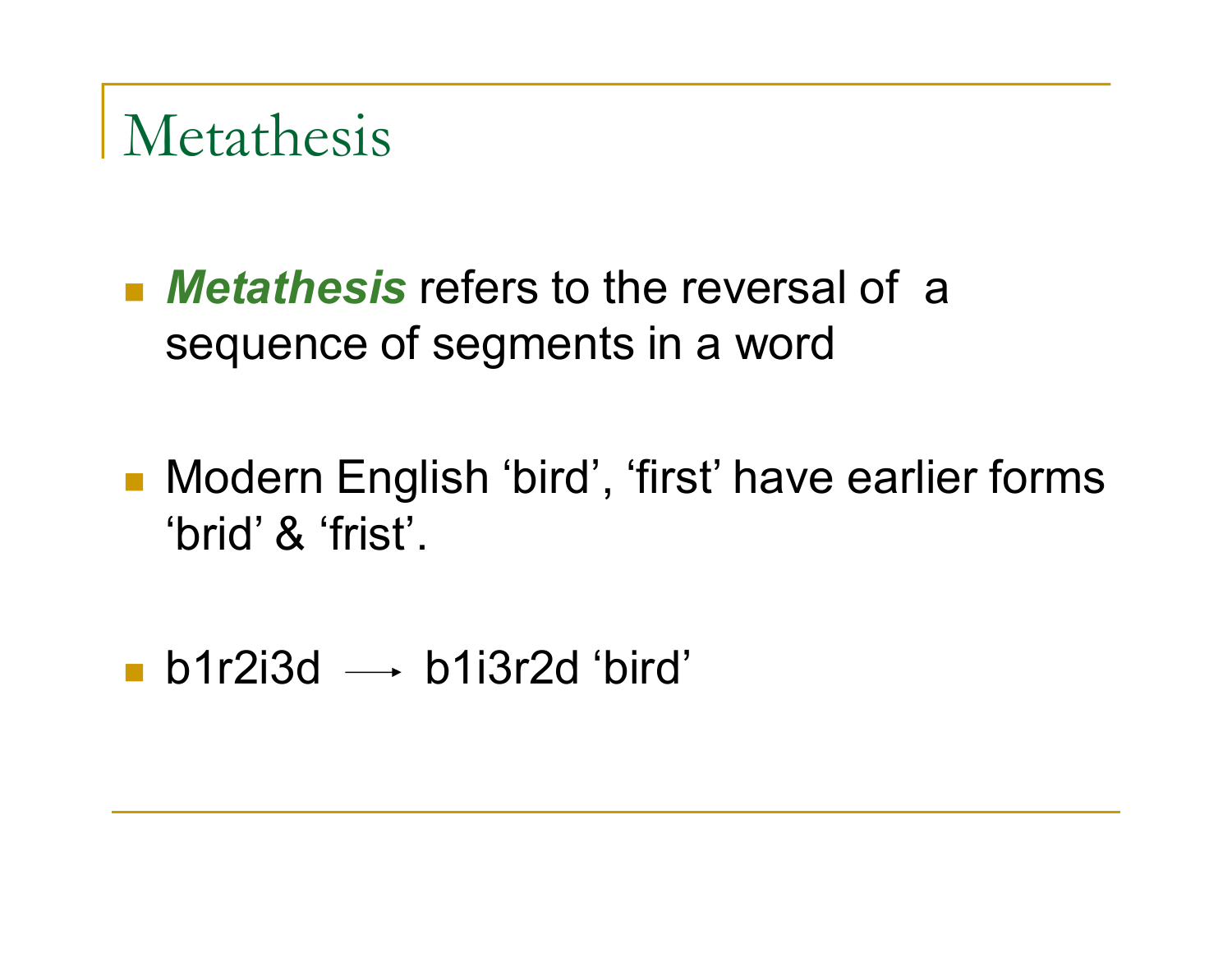#### Metathesis

- *Metathesis* refers to the reversal of a sequence of segments in a word
- Modern English 'bird', 'first' have earlier forms 'brid' & 'frist'.
- **b**1r2i3d  $\rightarrow$  b1i3r2d 'bird'